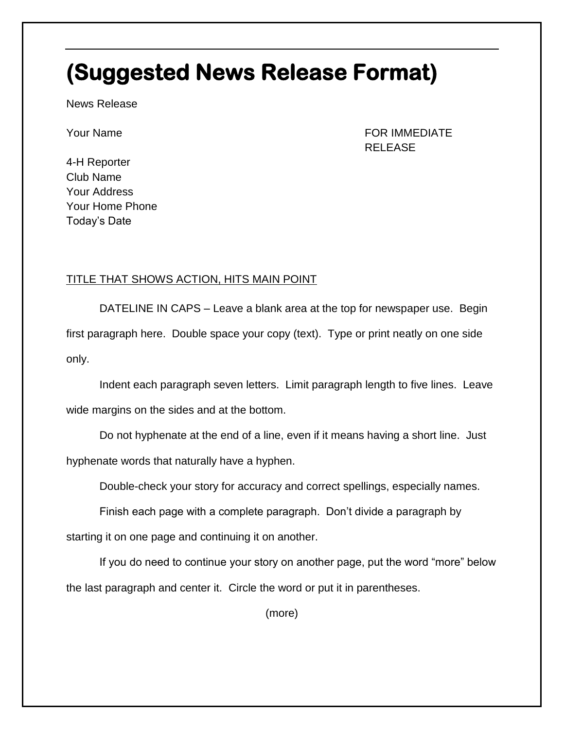## **(Suggested News Release Format)**

News Release

Your Name FOR IMMEDIATE RELEASE

4-H Reporter Club Name Your Address Your Home Phone Today's Date

## TITLE THAT SHOWS ACTION, HITS MAIN POINT

DATELINE IN CAPS – Leave a blank area at the top for newspaper use. Begin first paragraph here. Double space your copy (text). Type or print neatly on one side only.

Indent each paragraph seven letters. Limit paragraph length to five lines. Leave wide margins on the sides and at the bottom.

Do not hyphenate at the end of a line, even if it means having a short line. Just

hyphenate words that naturally have a hyphen.

Double-check your story for accuracy and correct spellings, especially names.

Finish each page with a complete paragraph. Don't divide a paragraph by

starting it on one page and continuing it on another.

If you do need to continue your story on another page, put the word "more" below the last paragraph and center it. Circle the word or put it in parentheses.

(more)